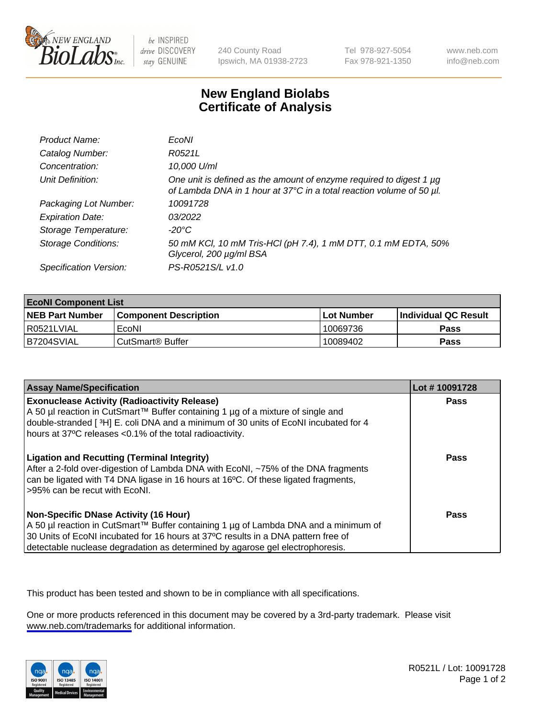

be INSPIRED drive DISCOVERY stay GENUINE

240 County Road Ipswich, MA 01938-2723 Tel 978-927-5054 Fax 978-921-1350

www.neb.com info@neb.com

## **New England Biolabs Certificate of Analysis**

| Product Name:              | EcoNI                                                                                                                                       |
|----------------------------|---------------------------------------------------------------------------------------------------------------------------------------------|
| Catalog Number:            | R0521L                                                                                                                                      |
| Concentration:             | 10,000 U/ml                                                                                                                                 |
| Unit Definition:           | One unit is defined as the amount of enzyme required to digest 1 µg<br>of Lambda DNA in 1 hour at 37°C in a total reaction volume of 50 µl. |
| Packaging Lot Number:      | 10091728                                                                                                                                    |
| <b>Expiration Date:</b>    | 03/2022                                                                                                                                     |
| Storage Temperature:       | $-20^{\circ}$ C                                                                                                                             |
| <b>Storage Conditions:</b> | 50 mM KCl, 10 mM Tris-HCl (pH 7.4), 1 mM DTT, 0.1 mM EDTA, 50%<br>Glycerol, 200 µg/ml BSA                                                   |
| Specification Version:     | PS-R0521S/L v1.0                                                                                                                            |

| <b>EcoNI Component List</b> |                         |             |                             |  |
|-----------------------------|-------------------------|-------------|-----------------------------|--|
| <b>NEB Part Number</b>      | l Component Description | ⊺Lot Number | <b>Individual QC Result</b> |  |
| I R0521LVIAL                | EcoNI                   | 10069736    | Pass                        |  |
| B7204SVIAL                  | l CutSmart® Buffer      | 10089402    | Pass                        |  |

| <b>Assay Name/Specification</b>                                                                                                                                                                                                                                                                           | Lot #10091728 |
|-----------------------------------------------------------------------------------------------------------------------------------------------------------------------------------------------------------------------------------------------------------------------------------------------------------|---------------|
| <b>Exonuclease Activity (Radioactivity Release)</b><br>A 50 µl reaction in CutSmart™ Buffer containing 1 µg of a mixture of single and<br>double-stranded [3H] E. coli DNA and a minimum of 30 units of EcoNI incubated for 4<br>hours at 37°C releases <0.1% of the total radioactivity.                 | Pass          |
| <b>Ligation and Recutting (Terminal Integrity)</b><br>After a 2-fold over-digestion of Lambda DNA with EcoNI, ~75% of the DNA fragments<br>can be ligated with T4 DNA ligase in 16 hours at 16°C. Of these ligated fragments,<br>>95% can be recut with EcoNI.                                            | Pass          |
| <b>Non-Specific DNase Activity (16 Hour)</b><br>A 50 µl reaction in CutSmart™ Buffer containing 1 µg of Lambda DNA and a minimum of<br>30 Units of EcoNI incubated for 16 hours at 37°C results in a DNA pattern free of<br>detectable nuclease degradation as determined by agarose gel electrophoresis. | <b>Pass</b>   |

This product has been tested and shown to be in compliance with all specifications.

One or more products referenced in this document may be covered by a 3rd-party trademark. Please visit <www.neb.com/trademarks>for additional information.